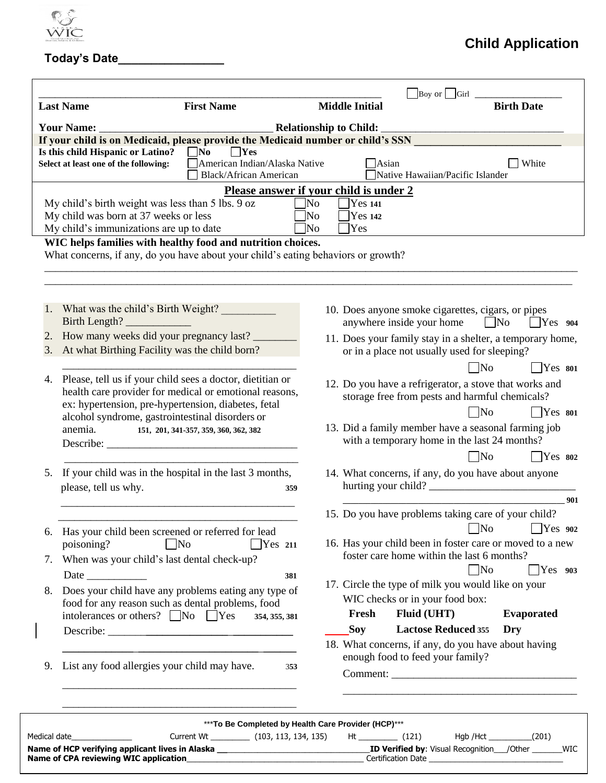

## **Today's Date\_\_\_\_\_\_\_\_\_\_\_\_\_\_\_\_**

## **Child Application**

| <b>Last Name</b>                                                                 | <b>First Name</b>                                                                                                          | <b>Middle Initial</b>                                      |                                                                                                        | <b>Birth Date</b>        |  |  |  |
|----------------------------------------------------------------------------------|----------------------------------------------------------------------------------------------------------------------------|------------------------------------------------------------|--------------------------------------------------------------------------------------------------------|--------------------------|--|--|--|
| <b>Relationship to Child:</b><br><b>Your Name:</b>                               |                                                                                                                            |                                                            |                                                                                                        |                          |  |  |  |
| Is this child Hispanic or Latino?                                                | If your child is on Medicaid, please provide the Medicaid number or child's SSN<br>$\blacksquare$ No<br>$\blacksquare$ Yes |                                                            |                                                                                                        |                          |  |  |  |
| Select at least one of the following:                                            | American Indian/Alaska Native<br><b>Black/African American</b>                                                             |                                                            | Asian<br>Native Hawaiian/Pacific Islander                                                              | White                    |  |  |  |
|                                                                                  |                                                                                                                            | Please answer if your child is under 2                     |                                                                                                        |                          |  |  |  |
|                                                                                  | My child's birth weight was less than 5 lbs. 9 oz                                                                          | Yes 141<br>]No                                             |                                                                                                        |                          |  |  |  |
| My child was born at 37 weeks or less<br>My child's immunizations are up to date |                                                                                                                            | <b>Yes 142</b><br>$\overline{\rm No}$<br>]No<br><b>Yes</b> |                                                                                                        |                          |  |  |  |
|                                                                                  | WIC helps families with healthy food and nutrition choices.                                                                |                                                            |                                                                                                        |                          |  |  |  |
|                                                                                  | What concerns, if any, do you have about your child's eating behaviors or growth?                                          |                                                            |                                                                                                        |                          |  |  |  |
|                                                                                  |                                                                                                                            |                                                            |                                                                                                        |                          |  |  |  |
|                                                                                  |                                                                                                                            |                                                            |                                                                                                        |                          |  |  |  |
|                                                                                  |                                                                                                                            |                                                            |                                                                                                        |                          |  |  |  |
| What was the child's Birth Weight?<br>1.<br>Birth Length?                        |                                                                                                                            |                                                            | 10. Does anyone smoke cigarettes, cigars, or pipes<br>anywhere inside your home                        | $\Box$ No<br>$ $ Yes 904 |  |  |  |
| 2.                                                                               | How many weeks did your pregnancy last?                                                                                    |                                                            | 11. Does your family stay in a shelter, a temporary home,                                              |                          |  |  |  |
| 3.                                                                               | At what Birthing Facility was the child born?                                                                              |                                                            | or in a place not usually used for sleeping?                                                           |                          |  |  |  |
|                                                                                  |                                                                                                                            |                                                            | $\neg$ No                                                                                              | $\Box$ Yes 801           |  |  |  |
| 4.                                                                               | Please, tell us if your child sees a doctor, dietitian or                                                                  |                                                            | 12. Do you have a refrigerator, a stove that works and                                                 |                          |  |  |  |
|                                                                                  | health care provider for medical or emotional reasons,                                                                     |                                                            | storage free from pests and harmful chemicals?                                                         |                          |  |  |  |
|                                                                                  | ex: hypertension, pre-hypertension, diabetes, fetal                                                                        |                                                            | $\neg$ No                                                                                              | $7$ Yes 801              |  |  |  |
| anemia.                                                                          | alcohol syndrome, gastrointestinal disorders or<br>151, 201, 341-357, 359, 360, 362, 382                                   |                                                            | 13. Did a family member have a seasonal farming job                                                    |                          |  |  |  |
|                                                                                  |                                                                                                                            |                                                            | with a temporary home in the last 24 months?                                                           |                          |  |  |  |
|                                                                                  |                                                                                                                            |                                                            | $\overline{\text{No}}$                                                                                 | $7$ Yes 802              |  |  |  |
| 5.                                                                               | If your child was in the hospital in the last 3 months,                                                                    |                                                            | 14. What concerns, if any, do you have about anyone                                                    |                          |  |  |  |
| please, tell us why.                                                             |                                                                                                                            | 359                                                        | hurting your child?                                                                                    |                          |  |  |  |
|                                                                                  |                                                                                                                            |                                                            |                                                                                                        | 901                      |  |  |  |
|                                                                                  |                                                                                                                            |                                                            | 15. Do you have problems taking care of your child?                                                    |                          |  |  |  |
| 6.                                                                               | Has your child been screened or referred for lead                                                                          |                                                            | $\neg$ No                                                                                              | Yes 902                  |  |  |  |
| poisoning?                                                                       | $\Box$ No<br>Yes 211                                                                                                       |                                                            | 16. Has your child been in foster care or moved to a new<br>foster care home within the last 6 months? |                          |  |  |  |
| 7.                                                                               | When was your child's last dental check-up?                                                                                |                                                            | $\Box$ No                                                                                              | $\sqrt{Y}$ es 903        |  |  |  |
|                                                                                  | 381                                                                                                                        |                                                            | 17. Circle the type of milk you would like on your                                                     |                          |  |  |  |
| 8.                                                                               | Does your child have any problems eating any type of<br>food for any reason such as dental problems, food                  |                                                            | WIC checks or in your food box:                                                                        |                          |  |  |  |
|                                                                                  | intolerances or others? $\Box$ No $\Box$ Yes<br>354, 355, 381                                                              | Fresh                                                      | Fluid (UHT)                                                                                            | <b>Evaporated</b>        |  |  |  |
|                                                                                  |                                                                                                                            | <b>Soy</b>                                                 | <b>Lactose Reduced 355</b>                                                                             | Dry                      |  |  |  |
|                                                                                  |                                                                                                                            |                                                            | 18. What concerns, if any, do you have about having                                                    |                          |  |  |  |
|                                                                                  | List any food allergies your child may have.                                                                               |                                                            | enough food to feed your family?                                                                       |                          |  |  |  |
| 9.                                                                               |                                                                                                                            | 353                                                        |                                                                                                        |                          |  |  |  |
|                                                                                  |                                                                                                                            |                                                            |                                                                                                        |                          |  |  |  |
|                                                                                  |                                                                                                                            |                                                            |                                                                                                        |                          |  |  |  |
|                                                                                  |                                                                                                                            |                                                            |                                                                                                        |                          |  |  |  |

**Name of CPA reviewing WIC application**\_\_\_\_\_\_\_\_\_\_\_\_\_\_\_\_\_\_\_\_\_\_\_\_\_\_\_\_\_\_\_\_\_\_\_\_\_\_\_\_\_ Certification Date \_\_\_\_\_\_\_\_\_\_\_\_\_\_\_\_\_\_\_\_\_\_\_\_\_\_\_\_\_\_\_